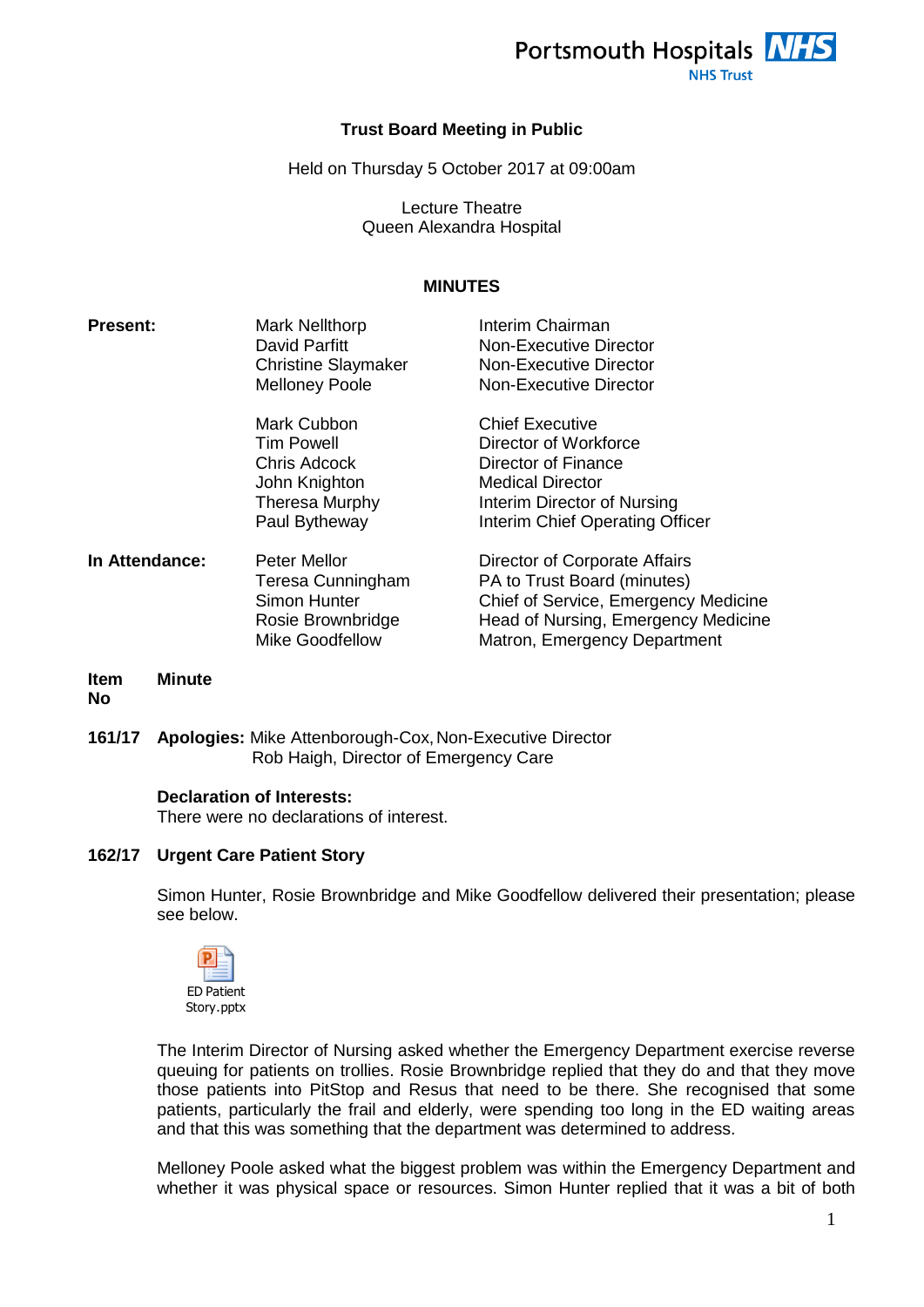

#### **Trust Board Meeting in Public**

Held on Thursday 5 October 2017 at 09:00am

Lecture Theatre Queen Alexandra Hospital

#### **MINUTES**

| <b>Present:</b> | <b>Mark Nellthorp</b><br>David Parfitt<br><b>Christine Slaymaker</b><br><b>Melloney Poole</b>    | Interim Chairman<br>Non-Executive Director<br>Non-Executive Director<br>Non-Executive Director                                                                              |
|-----------------|--------------------------------------------------------------------------------------------------|-----------------------------------------------------------------------------------------------------------------------------------------------------------------------------|
|                 | Mark Cubbon<br>Tim Powell<br>Chris Adcock<br>John Knighton<br>Theresa Murphy<br>Paul Bytheway    | <b>Chief Executive</b><br>Director of Workforce<br>Director of Finance<br><b>Medical Director</b><br>Interim Director of Nursing<br>Interim Chief Operating Officer         |
| In Attendance:  | Peter Mellor<br>Teresa Cunningham<br>Simon Hunter<br>Rosie Brownbridge<br><b>Mike Goodfellow</b> | Director of Corporate Affairs<br>PA to Trust Board (minutes)<br>Chief of Service, Emergency Medicine<br>Head of Nursing, Emergency Medicine<br>Matron, Emergency Department |

#### **Item No Minute**

**161/17 Apologies:** Mike Attenborough-Cox,Non-Executive Director Rob Haigh, Director of Emergency Care

#### **Declaration of Interests:**

There were no declarations of interest.

#### **162/17 Urgent Care Patient Story**

Simon Hunter, Rosie Brownbridge and Mike Goodfellow delivered their presentation; please see below.



The Interim Director of Nursing asked whether the Emergency Department exercise reverse queuing for patients on trollies. Rosie Brownbridge replied that they do and that they move those patients into PitStop and Resus that need to be there. She recognised that some patients, particularly the frail and elderly, were spending too long in the ED waiting areas and that this was something that the department was determined to address.

Melloney Poole asked what the biggest problem was within the Emergency Department and whether it was physical space or resources. Simon Hunter replied that it was a bit of both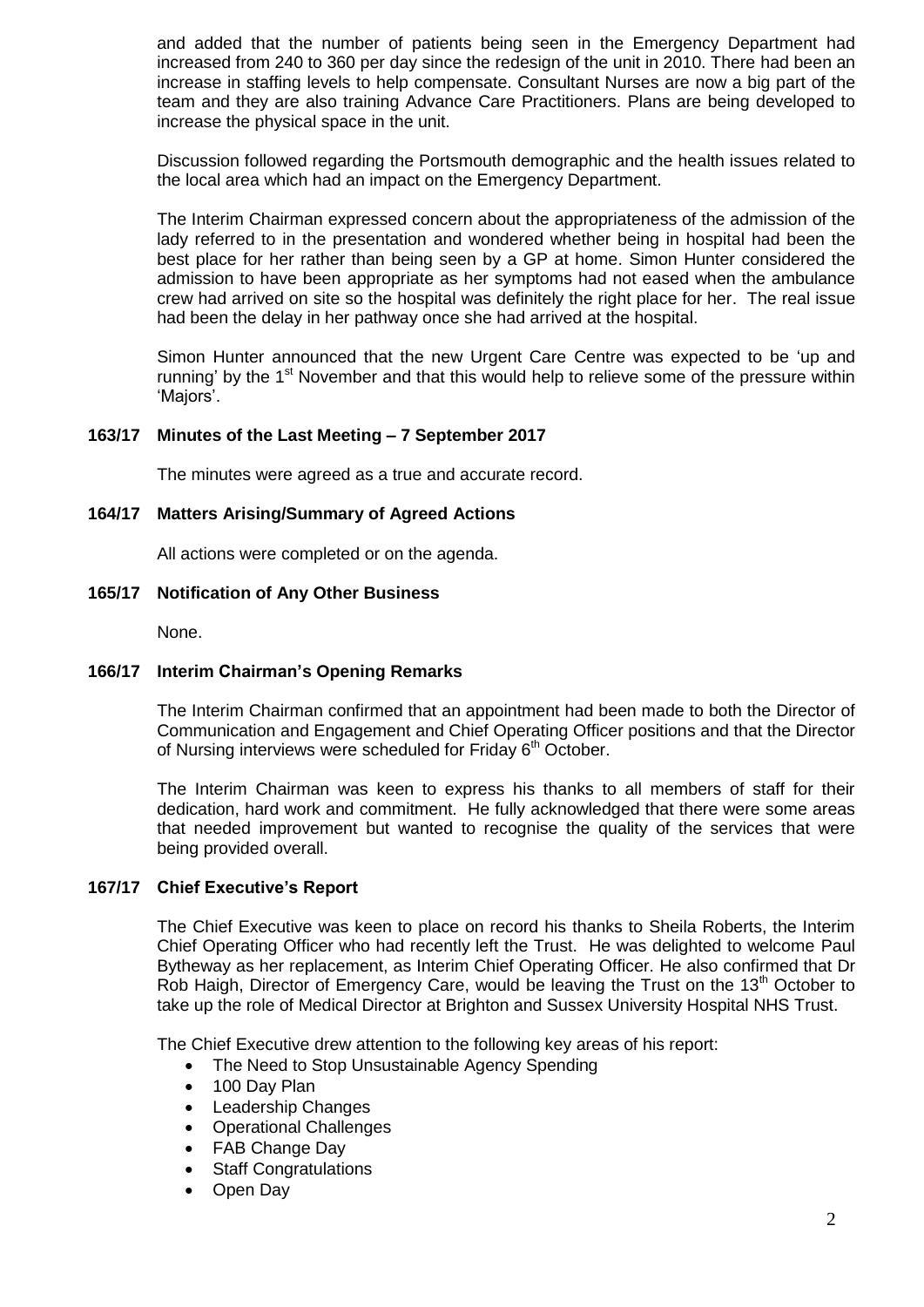and added that the number of patients being seen in the Emergency Department had increased from 240 to 360 per day since the redesign of the unit in 2010. There had been an increase in staffing levels to help compensate. Consultant Nurses are now a big part of the team and they are also training Advance Care Practitioners. Plans are being developed to increase the physical space in the unit.

Discussion followed regarding the Portsmouth demographic and the health issues related to the local area which had an impact on the Emergency Department.

The Interim Chairman expressed concern about the appropriateness of the admission of the lady referred to in the presentation and wondered whether being in hospital had been the best place for her rather than being seen by a GP at home. Simon Hunter considered the admission to have been appropriate as her symptoms had not eased when the ambulance crew had arrived on site so the hospital was definitely the right place for her. The real issue had been the delay in her pathway once she had arrived at the hospital.

Simon Hunter announced that the new Urgent Care Centre was expected to be 'up and running' by the  $1<sup>st</sup>$  November and that this would help to relieve some of the pressure within 'Majors'.

#### **163/17 Minutes of the Last Meeting – 7 September 2017**

The minutes were agreed as a true and accurate record.

## **164/17 Matters Arising/Summary of Agreed Actions**

All actions were completed or on the agenda.

#### **165/17 Notification of Any Other Business**

None.

## **166/17 Interim Chairman's Opening Remarks**

The Interim Chairman confirmed that an appointment had been made to both the Director of Communication and Engagement and Chief Operating Officer positions and that the Director of Nursing interviews were scheduled for Friday  $6<sup>th</sup>$  October.

The Interim Chairman was keen to express his thanks to all members of staff for their dedication, hard work and commitment. He fully acknowledged that there were some areas that needed improvement but wanted to recognise the quality of the services that were being provided overall.

#### **167/17 Chief Executive's Report**

The Chief Executive was keen to place on record his thanks to Sheila Roberts, the Interim Chief Operating Officer who had recently left the Trust. He was delighted to welcome Paul Bytheway as her replacement, as Interim Chief Operating Officer. He also confirmed that Dr Rob Haigh, Director of Emergency Care, would be leaving the Trust on the  $13<sup>th</sup>$  October to take up the role of Medical Director at Brighton and Sussex University Hospital NHS Trust.

The Chief Executive drew attention to the following key areas of his report:

- The Need to Stop Unsustainable Agency Spending
- 100 Dav Plan
- Leadership Changes
- Operational Challenges
- FAB Change Day
- Staff Congratulations
- Open Day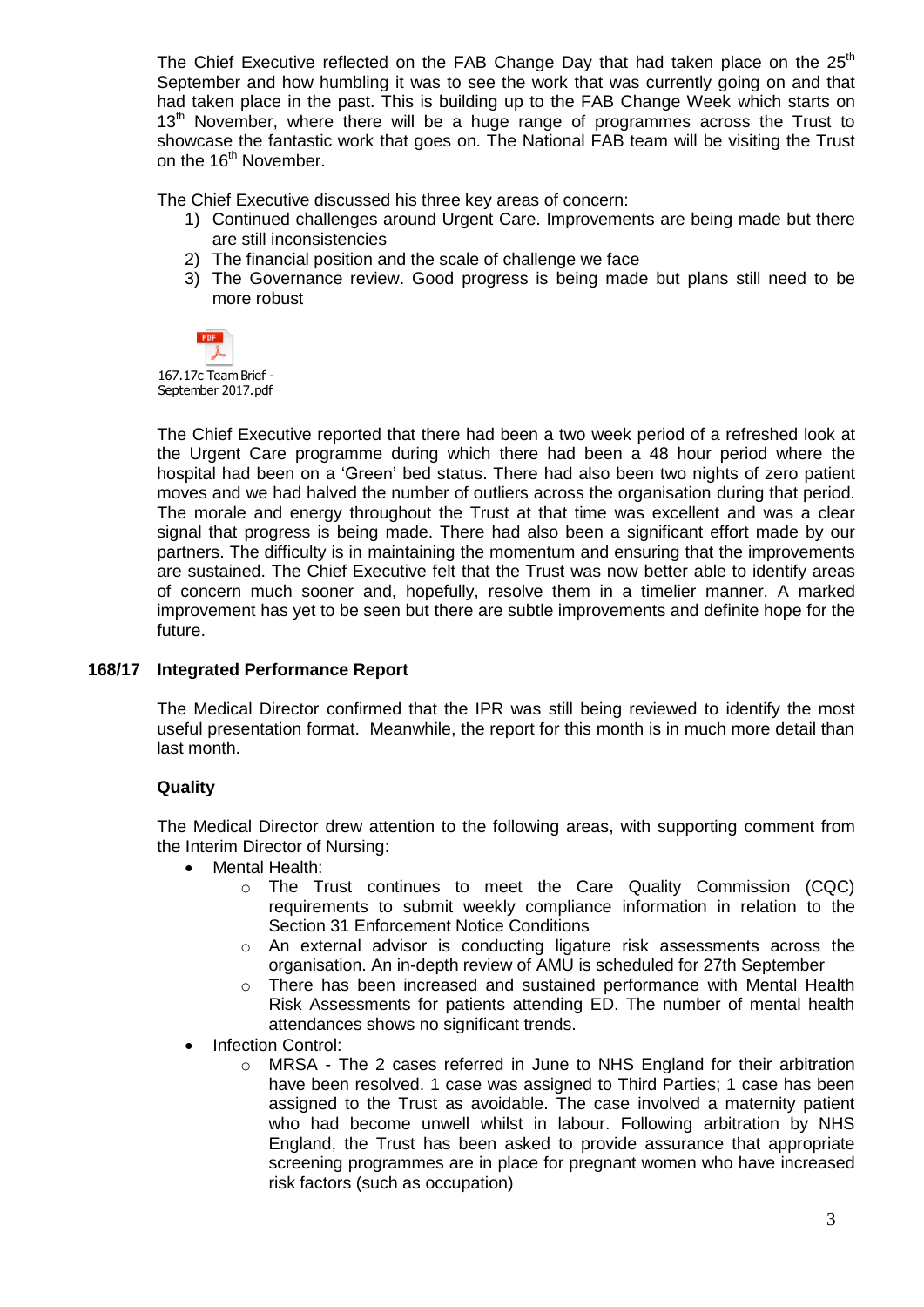The Chief Executive reflected on the FAB Change Day that had taken place on the  $25<sup>th</sup>$ September and how humbling it was to see the work that was currently going on and that had taken place in the past. This is building up to the FAB Change Week which starts on  $13<sup>th</sup>$  November, where there will be a huge range of programmes across the Trust to showcase the fantastic work that goes on. The National FAB team will be visiting the Trust on the 16<sup>th</sup> November.

The Chief Executive discussed his three key areas of concern:

- 1) Continued challenges around Urgent Care. Improvements are being made but there are still inconsistencies
- 2) The financial position and the scale of challenge we face
- 3) The Governance review. Good progress is being made but plans still need to be more robust



167.17c Team Brief - September 2017.pdf

The Chief Executive reported that there had been a two week period of a refreshed look at the Urgent Care programme during which there had been a 48 hour period where the hospital had been on a 'Green' bed status. There had also been two nights of zero patient moves and we had halved the number of outliers across the organisation during that period. The morale and energy throughout the Trust at that time was excellent and was a clear signal that progress is being made. There had also been a significant effort made by our partners. The difficulty is in maintaining the momentum and ensuring that the improvements are sustained. The Chief Executive felt that the Trust was now better able to identify areas of concern much sooner and, hopefully, resolve them in a timelier manner. A marked improvement has yet to be seen but there are subtle improvements and definite hope for the future.

# **168/17 Integrated Performance Report**

The Medical Director confirmed that the IPR was still being reviewed to identify the most useful presentation format. Meanwhile, the report for this month is in much more detail than last month.

# **Quality**

The Medical Director drew attention to the following areas, with supporting comment from the Interim Director of Nursing:

- Mental Health:
	- o The Trust continues to meet the Care Quality Commission (CQC) requirements to submit weekly compliance information in relation to the Section 31 Enforcement Notice Conditions
	- $\circ$  An external advisor is conducting ligature risk assessments across the organisation. An in-depth review of AMU is scheduled for 27th September
	- o There has been increased and sustained performance with Mental Health Risk Assessments for patients attending ED. The number of mental health attendances shows no significant trends.
- Infection Control:
	- $\circ$  MRSA The 2 cases referred in June to NHS England for their arbitration have been resolved. 1 case was assigned to Third Parties; 1 case has been assigned to the Trust as avoidable. The case involved a maternity patient who had become unwell whilst in labour. Following arbitration by NHS England, the Trust has been asked to provide assurance that appropriate screening programmes are in place for pregnant women who have increased risk factors (such as occupation)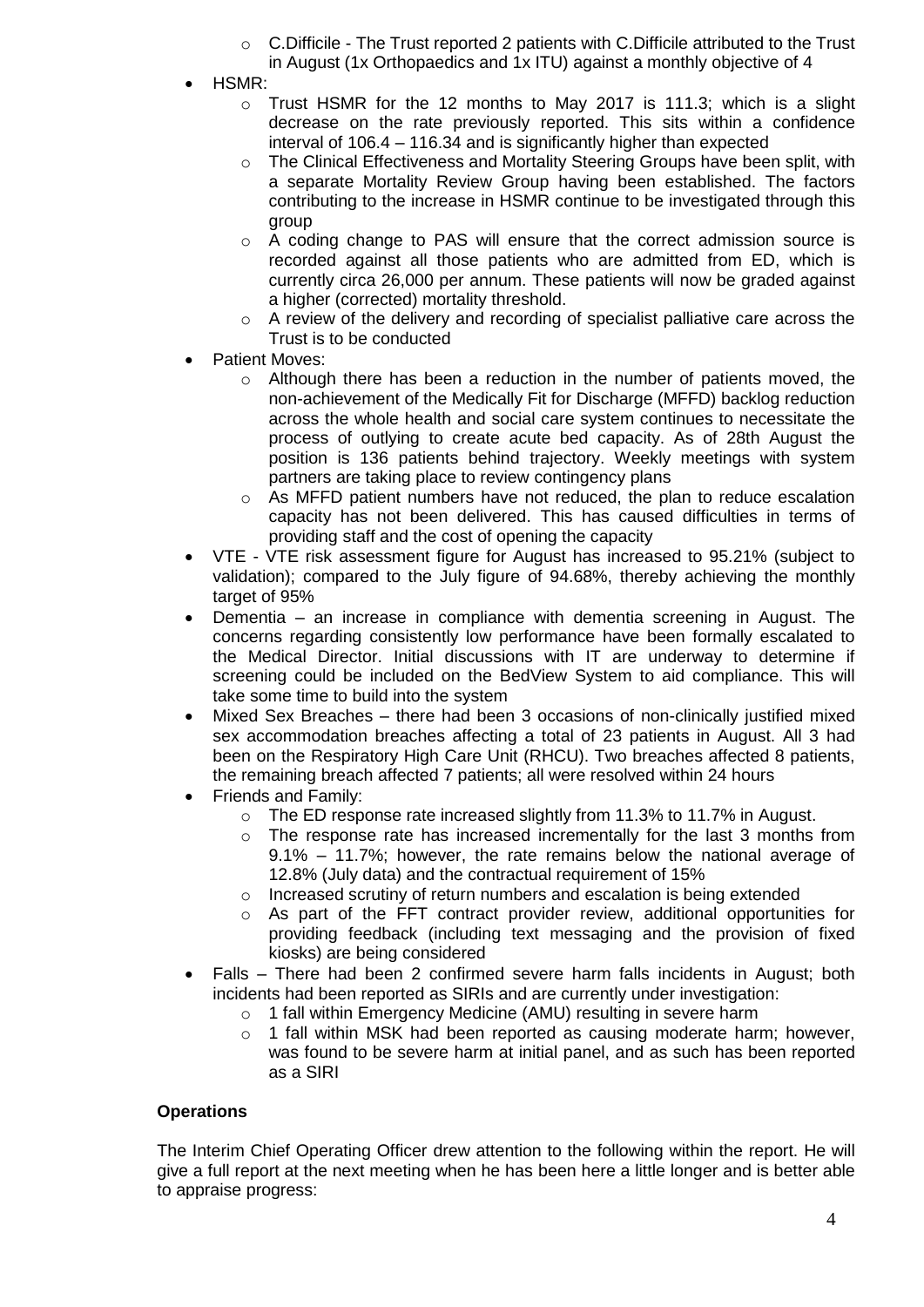- o C.Difficile The Trust reported 2 patients with C.Difficile attributed to the Trust
	- in August (1x Orthopaedics and 1x ITU) against a monthly objective of 4
- HSMR:
	- o Trust HSMR for the 12 months to May 2017 is 111.3; which is a slight decrease on the rate previously reported. This sits within a confidence interval of 106.4 – 116.34 and is significantly higher than expected
	- $\circ$  The Clinical Effectiveness and Mortality Steering Groups have been split, with a separate Mortality Review Group having been established. The factors contributing to the increase in HSMR continue to be investigated through this group
	- $\circ$  A coding change to PAS will ensure that the correct admission source is recorded against all those patients who are admitted from ED, which is currently circa 26,000 per annum. These patients will now be graded against a higher (corrected) mortality threshold.
	- $\circ$  A review of the delivery and recording of specialist palliative care across the Trust is to be conducted
- Patient Moves:
	- $\circ$  Although there has been a reduction in the number of patients moved, the non-achievement of the Medically Fit for Discharge (MFFD) backlog reduction across the whole health and social care system continues to necessitate the process of outlying to create acute bed capacity. As of 28th August the position is 136 patients behind trajectory. Weekly meetings with system partners are taking place to review contingency plans
	- $\circ$  As MFFD patient numbers have not reduced, the plan to reduce escalation capacity has not been delivered. This has caused difficulties in terms of providing staff and the cost of opening the capacity
- VTE VTE risk assessment figure for August has increased to 95.21% (subject to validation); compared to the July figure of 94.68%, thereby achieving the monthly target of 95%
- Dementia an increase in compliance with dementia screening in August. The concerns regarding consistently low performance have been formally escalated to the Medical Director. Initial discussions with IT are underway to determine if screening could be included on the BedView System to aid compliance. This will take some time to build into the system
- Mixed Sex Breaches there had been 3 occasions of non-clinically justified mixed sex accommodation breaches affecting a total of 23 patients in August. All 3 had been on the Respiratory High Care Unit (RHCU). Two breaches affected 8 patients, the remaining breach affected 7 patients; all were resolved within 24 hours
- Friends and Family:
	- o The ED response rate increased slightly from 11.3% to 11.7% in August.
	- $\circ$  The response rate has increased incrementally for the last 3 months from 9.1% – 11.7%; however, the rate remains below the national average of 12.8% (July data) and the contractual requirement of 15%
	- o Increased scrutiny of return numbers and escalation is being extended
	- o As part of the FFT contract provider review, additional opportunities for providing feedback (including text messaging and the provision of fixed kiosks) are being considered
- Falls There had been 2 confirmed severe harm falls incidents in August; both incidents had been reported as SIRIs and are currently under investigation:
	- o 1 fall within Emergency Medicine (AMU) resulting in severe harm
	- $\circ$  1 fall within MSK had been reported as causing moderate harm; however, was found to be severe harm at initial panel, and as such has been reported as a SIRI

# **Operations**

The Interim Chief Operating Officer drew attention to the following within the report. He will give a full report at the next meeting when he has been here a little longer and is better able to appraise progress: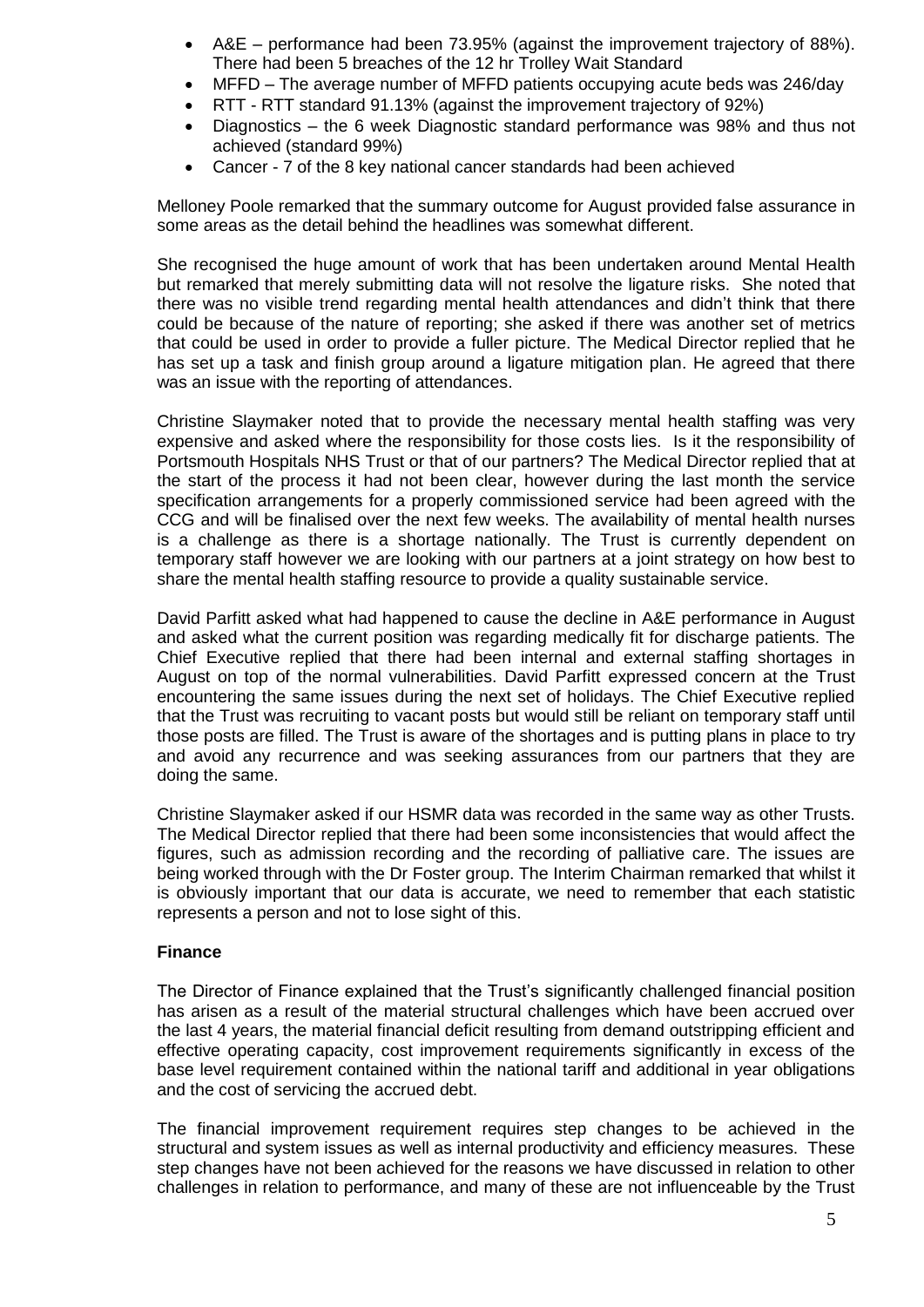- A&E performance had been 73.95% (against the improvement trajectory of 88%). There had been 5 breaches of the 12 hr Trolley Wait Standard
- MFFD The average number of MFFD patients occupying acute beds was 246/day
- RTT RTT standard 91.13% (against the improvement trajectory of 92%)
- Diagnostics the 6 week Diagnostic standard performance was 98% and thus not achieved (standard 99%)
- Cancer 7 of the 8 key national cancer standards had been achieved

Melloney Poole remarked that the summary outcome for August provided false assurance in some areas as the detail behind the headlines was somewhat different.

She recognised the huge amount of work that has been undertaken around Mental Health but remarked that merely submitting data will not resolve the ligature risks. She noted that there was no visible trend regarding mental health attendances and didn't think that there could be because of the nature of reporting; she asked if there was another set of metrics that could be used in order to provide a fuller picture. The Medical Director replied that he has set up a task and finish group around a ligature mitigation plan. He agreed that there was an issue with the reporting of attendances.

Christine Slaymaker noted that to provide the necessary mental health staffing was very expensive and asked where the responsibility for those costs lies. Is it the responsibility of Portsmouth Hospitals NHS Trust or that of our partners? The Medical Director replied that at the start of the process it had not been clear, however during the last month the service specification arrangements for a properly commissioned service had been agreed with the CCG and will be finalised over the next few weeks. The availability of mental health nurses is a challenge as there is a shortage nationally. The Trust is currently dependent on temporary staff however we are looking with our partners at a joint strategy on how best to share the mental health staffing resource to provide a quality sustainable service.

David Parfitt asked what had happened to cause the decline in A&E performance in August and asked what the current position was regarding medically fit for discharge patients. The Chief Executive replied that there had been internal and external staffing shortages in August on top of the normal vulnerabilities. David Parfitt expressed concern at the Trust encountering the same issues during the next set of holidays. The Chief Executive replied that the Trust was recruiting to vacant posts but would still be reliant on temporary staff until those posts are filled. The Trust is aware of the shortages and is putting plans in place to try and avoid any recurrence and was seeking assurances from our partners that they are doing the same.

Christine Slaymaker asked if our HSMR data was recorded in the same way as other Trusts. The Medical Director replied that there had been some inconsistencies that would affect the figures, such as admission recording and the recording of palliative care. The issues are being worked through with the Dr Foster group. The Interim Chairman remarked that whilst it is obviously important that our data is accurate, we need to remember that each statistic represents a person and not to lose sight of this.

## **Finance**

The Director of Finance explained that the Trust's significantly challenged financial position has arisen as a result of the material structural challenges which have been accrued over the last 4 years, the material financial deficit resulting from demand outstripping efficient and effective operating capacity, cost improvement requirements significantly in excess of the base level requirement contained within the national tariff and additional in year obligations and the cost of servicing the accrued debt.

The financial improvement requirement requires step changes to be achieved in the structural and system issues as well as internal productivity and efficiency measures. These step changes have not been achieved for the reasons we have discussed in relation to other challenges in relation to performance, and many of these are not influenceable by the Trust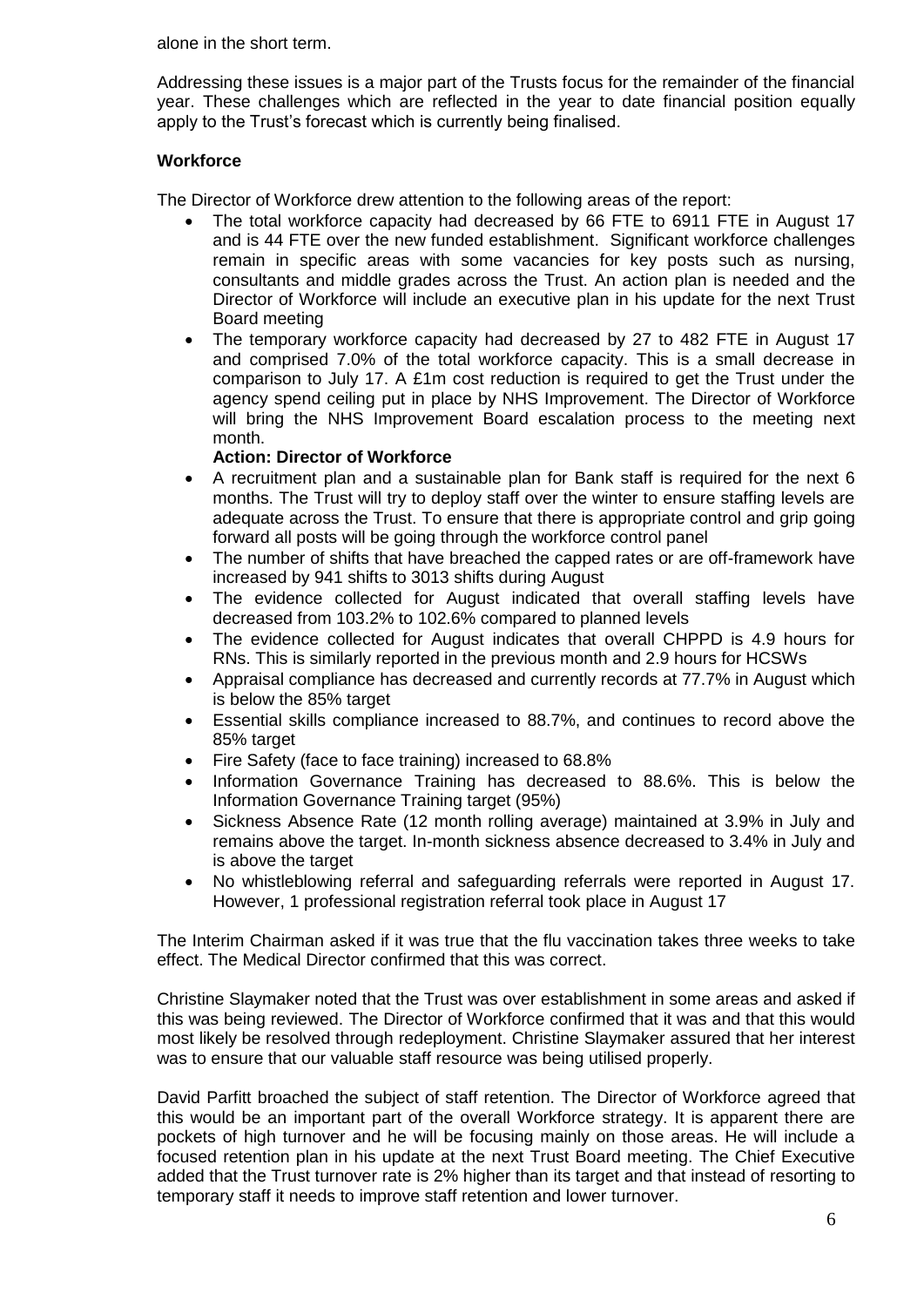alone in the short term.

Addressing these issues is a major part of the Trusts focus for the remainder of the financial year. These challenges which are reflected in the year to date financial position equally apply to the Trust's forecast which is currently being finalised.

# **Workforce**

The Director of Workforce drew attention to the following areas of the report:

- The total workforce capacity had decreased by 66 FTE to 6911 FTE in August 17 and is 44 FTE over the new funded establishment. Significant workforce challenges remain in specific areas with some vacancies for key posts such as nursing, consultants and middle grades across the Trust. An action plan is needed and the Director of Workforce will include an executive plan in his update for the next Trust Board meeting
- The temporary workforce capacity had decreased by 27 to 482 FTE in August 17 and comprised 7.0% of the total workforce capacity. This is a small decrease in comparison to July 17. A £1m cost reduction is required to get the Trust under the agency spend ceiling put in place by NHS Improvement. The Director of Workforce will bring the NHS Improvement Board escalation process to the meeting next month.

## **Action: Director of Workforce**

- A recruitment plan and a sustainable plan for Bank staff is required for the next 6 months. The Trust will try to deploy staff over the winter to ensure staffing levels are adequate across the Trust. To ensure that there is appropriate control and grip going forward all posts will be going through the workforce control panel
- The number of shifts that have breached the capped rates or are off-framework have increased by 941 shifts to 3013 shifts during August
- The evidence collected for August indicated that overall staffing levels have decreased from 103.2% to 102.6% compared to planned levels
- The evidence collected for August indicates that overall CHPPD is 4.9 hours for RNs. This is similarly reported in the previous month and 2.9 hours for HCSWs
- Appraisal compliance has decreased and currently records at 77.7% in August which is below the 85% target
- Essential skills compliance increased to 88.7%, and continues to record above the 85% target
- Fire Safety (face to face training) increased to 68.8%
- Information Governance Training has decreased to 88.6%. This is below the Information Governance Training target (95%)
- Sickness Absence Rate (12 month rolling average) maintained at 3.9% in July and remains above the target. In-month sickness absence decreased to 3.4% in July and is above the target
- No whistleblowing referral and safeguarding referrals were reported in August 17. However, 1 professional registration referral took place in August 17

The Interim Chairman asked if it was true that the flu vaccination takes three weeks to take effect. The Medical Director confirmed that this was correct.

Christine Slaymaker noted that the Trust was over establishment in some areas and asked if this was being reviewed. The Director of Workforce confirmed that it was and that this would most likely be resolved through redeployment. Christine Slaymaker assured that her interest was to ensure that our valuable staff resource was being utilised properly.

David Parfitt broached the subject of staff retention. The Director of Workforce agreed that this would be an important part of the overall Workforce strategy. It is apparent there are pockets of high turnover and he will be focusing mainly on those areas. He will include a focused retention plan in his update at the next Trust Board meeting. The Chief Executive added that the Trust turnover rate is 2% higher than its target and that instead of resorting to temporary staff it needs to improve staff retention and lower turnover.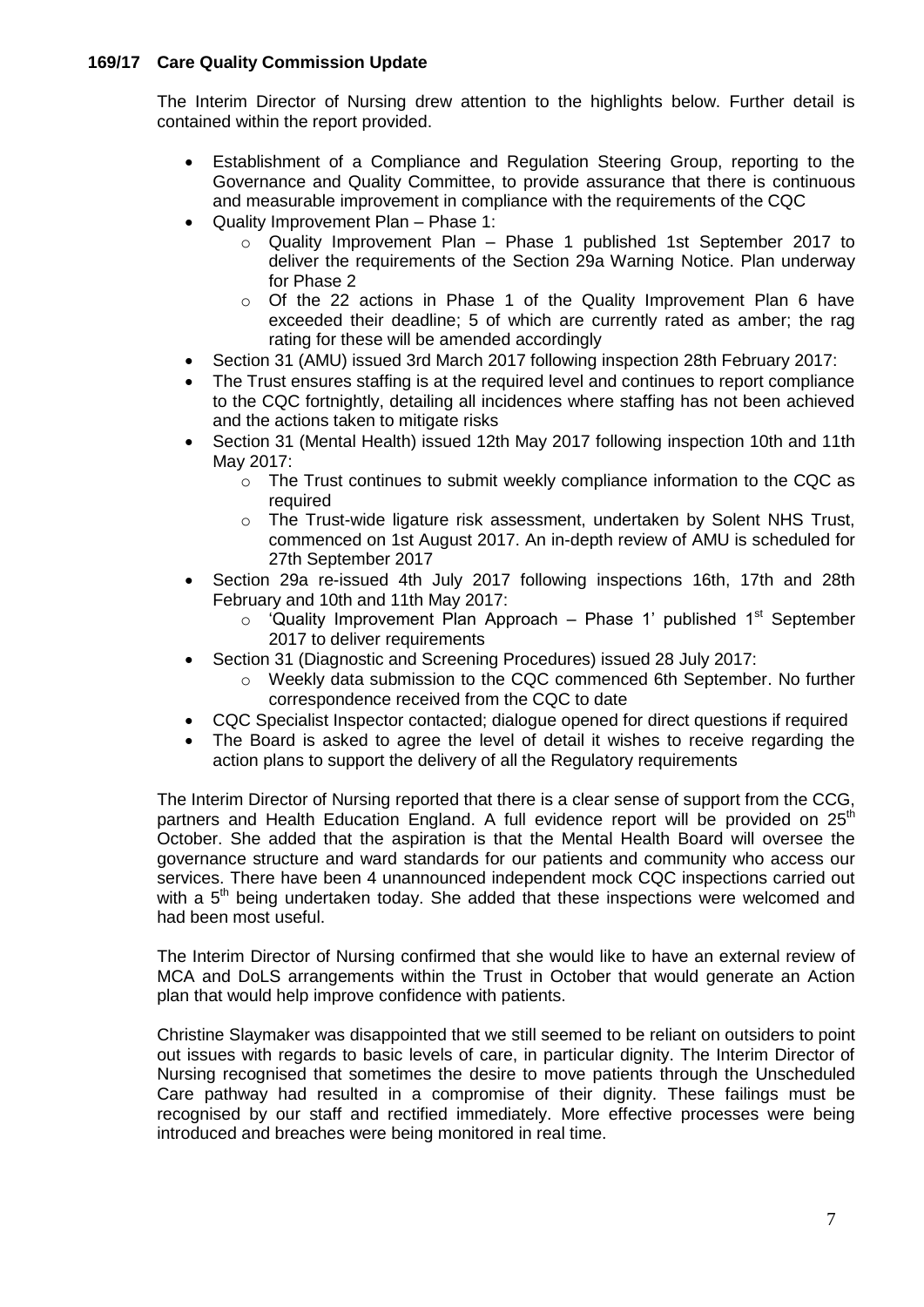## **169/17 Care Quality Commission Update**

The Interim Director of Nursing drew attention to the highlights below. Further detail is contained within the report provided.

- Establishment of a Compliance and Regulation Steering Group, reporting to the Governance and Quality Committee, to provide assurance that there is continuous and measurable improvement in compliance with the requirements of the CQC
- Quality Improvement Plan Phase 1:
	- o Quality Improvement Plan Phase 1 published 1st September 2017 to deliver the requirements of the Section 29a Warning Notice. Plan underway for Phase 2
	- $\circ$  Of the 22 actions in Phase 1 of the Quality Improvement Plan 6 have exceeded their deadline; 5 of which are currently rated as amber; the rag rating for these will be amended accordingly
- Section 31 (AMU) issued 3rd March 2017 following inspection 28th February 2017:
- The Trust ensures staffing is at the required level and continues to report compliance to the CQC fortnightly, detailing all incidences where staffing has not been achieved and the actions taken to mitigate risks
- Section 31 (Mental Health) issued 12th May 2017 following inspection 10th and 11th May 2017:
	- o The Trust continues to submit weekly compliance information to the CQC as required
	- o The Trust-wide ligature risk assessment, undertaken by Solent NHS Trust, commenced on 1st August 2017. An in-depth review of AMU is scheduled for 27th September 2017
- Section 29a re-issued 4th July 2017 following inspections 16th, 17th and 28th February and 10th and 11th May 2017:
	- $\circ$  'Quality Improvement Plan Approach Phase 1' published 1<sup>st</sup> September 2017 to deliver requirements
- Section 31 (Diagnostic and Screening Procedures) issued 28 July 2017:
	- $\circ$  Weekly data submission to the CQC commenced 6th September. No further correspondence received from the CQC to date
- CQC Specialist Inspector contacted; dialogue opened for direct questions if required
- The Board is asked to agree the level of detail it wishes to receive regarding the action plans to support the delivery of all the Regulatory requirements

The Interim Director of Nursing reported that there is a clear sense of support from the CCG, partners and Health Education England. A full evidence report will be provided on  $25<sup>th</sup>$ October. She added that the aspiration is that the Mental Health Board will oversee the governance structure and ward standards for our patients and community who access our services. There have been 4 unannounced independent mock CQC inspections carried out with a  $5<sup>th</sup>$  being undertaken today. She added that these inspections were welcomed and had been most useful.

The Interim Director of Nursing confirmed that she would like to have an external review of MCA and DoLS arrangements within the Trust in October that would generate an Action plan that would help improve confidence with patients.

Christine Slaymaker was disappointed that we still seemed to be reliant on outsiders to point out issues with regards to basic levels of care, in particular dignity. The Interim Director of Nursing recognised that sometimes the desire to move patients through the Unscheduled Care pathway had resulted in a compromise of their dignity. These failings must be recognised by our staff and rectified immediately. More effective processes were being introduced and breaches were being monitored in real time.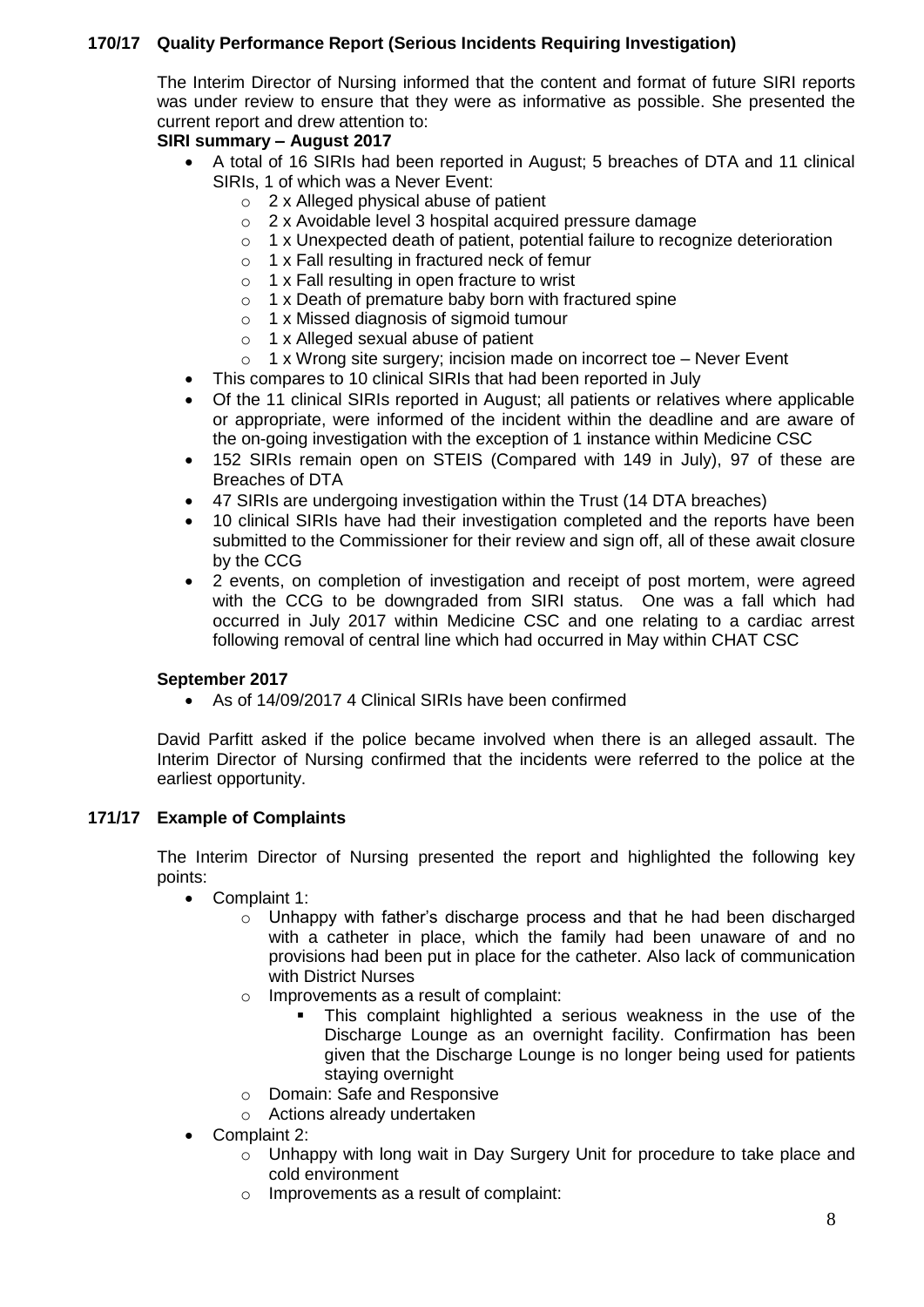# **170/17 Quality Performance Report (Serious Incidents Requiring Investigation)**

The Interim Director of Nursing informed that the content and format of future SIRI reports was under review to ensure that they were as informative as possible. She presented the current report and drew attention to:

# **SIRI summary – August 2017**

- A total of 16 SIRIs had been reported in August; 5 breaches of DTA and 11 clinical SIRIs, 1 of which was a Never Event:
	- o 2 x Alleged physical abuse of patient
	- o 2 x Avoidable level 3 hospital acquired pressure damage
	- o 1 x Unexpected death of patient, potential failure to recognize deterioration
	- o 1 x Fall resulting in fractured neck of femur
	- o 1 x Fall resulting in open fracture to wrist
	- o 1 x Death of premature baby born with fractured spine
	- o 1 x Missed diagnosis of sigmoid tumour
	- o 1 x Alleged sexual abuse of patient
	- $\circ$  1 x Wrong site surgery; incision made on incorrect toe Never Event
- This compares to 10 clinical SIRIs that had been reported in July
- Of the 11 clinical SIRIs reported in August; all patients or relatives where applicable or appropriate, were informed of the incident within the deadline and are aware of the on-going investigation with the exception of 1 instance within Medicine CSC
- 152 SIRIs remain open on STEIS (Compared with 149 in July), 97 of these are Breaches of DTA
- 47 SIRIs are undergoing investigation within the Trust (14 DTA breaches)
- 10 clinical SIRIs have had their investigation completed and the reports have been submitted to the Commissioner for their review and sign off, all of these await closure by the CCG
- 2 events, on completion of investigation and receipt of post mortem, were agreed with the CCG to be downgraded from SIRI status. One was a fall which had occurred in July 2017 within Medicine CSC and one relating to a cardiac arrest following removal of central line which had occurred in May within CHAT CSC

## **September 2017**

As of 14/09/2017 4 Clinical SIRIs have been confirmed

David Parfitt asked if the police became involved when there is an alleged assault. The Interim Director of Nursing confirmed that the incidents were referred to the police at the earliest opportunity.

## **171/17 Example of Complaints**

The Interim Director of Nursing presented the report and highlighted the following key points:

- Complaint 1:
	- o Unhappy with father's discharge process and that he had been discharged with a catheter in place, which the family had been unaware of and no provisions had been put in place for the catheter. Also lack of communication with District Nurses
	- o Improvements as a result of complaint:
		- This complaint highlighted a serious weakness in the use of the Discharge Lounge as an overnight facility. Confirmation has been given that the Discharge Lounge is no longer being used for patients staying overnight
	- o Domain: Safe and Responsive
	- o Actions already undertaken
- Complaint 2:
	- o Unhappy with long wait in Day Surgery Unit for procedure to take place and cold environment
	- o Improvements as a result of complaint: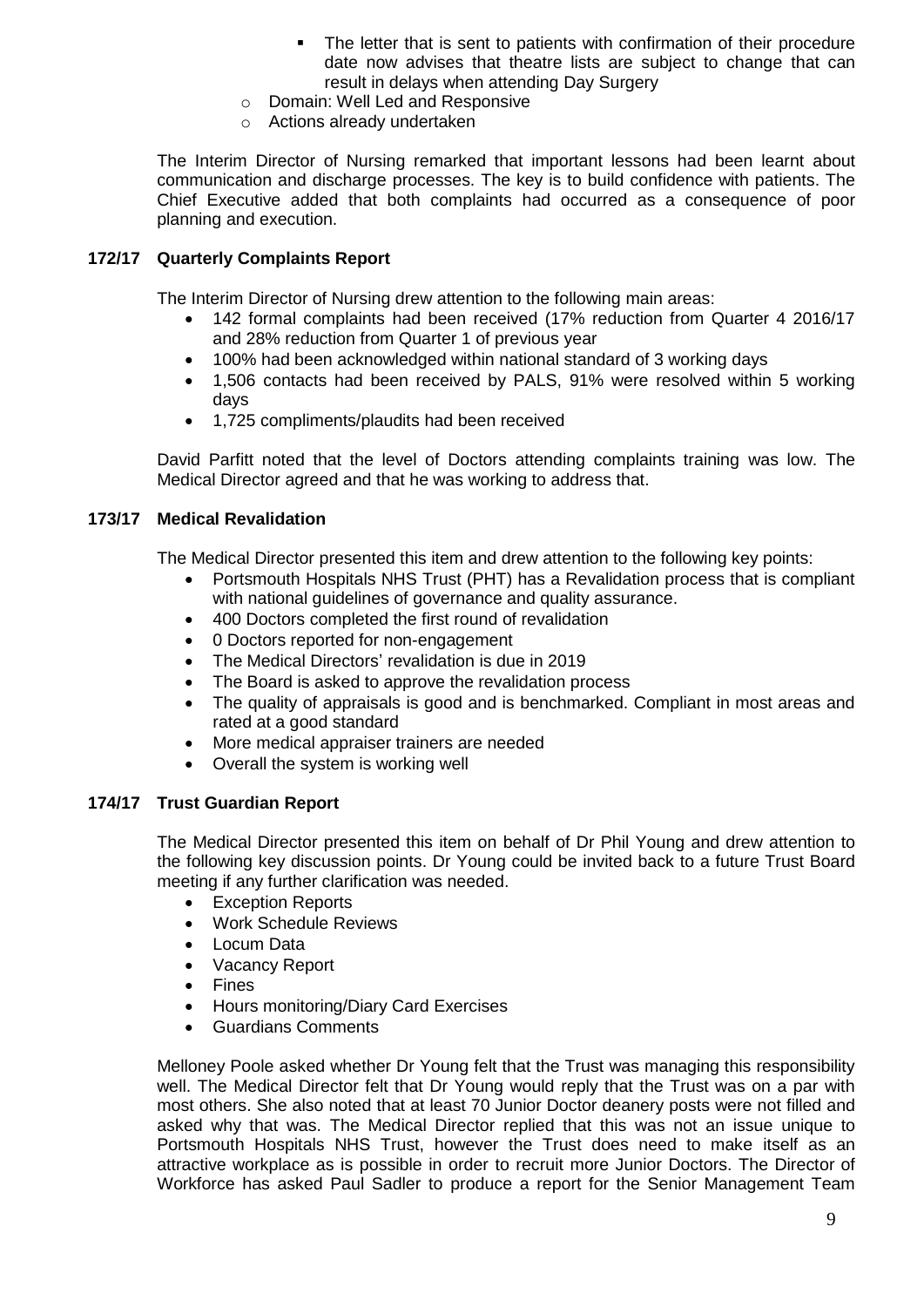- The letter that is sent to patients with confirmation of their procedure date now advises that theatre lists are subject to change that can result in delays when attending Day Surgery
- o Domain: Well Led and Responsive
- o Actions already undertaken

The Interim Director of Nursing remarked that important lessons had been learnt about communication and discharge processes. The key is to build confidence with patients. The Chief Executive added that both complaints had occurred as a consequence of poor planning and execution.

#### **172/17 Quarterly Complaints Report**

The Interim Director of Nursing drew attention to the following main areas:

- 142 formal complaints had been received (17% reduction from Quarter 4 2016/17 and 28% reduction from Quarter 1 of previous year
- 100% had been acknowledged within national standard of 3 working days
- 1,506 contacts had been received by PALS, 91% were resolved within 5 working days
- 1,725 compliments/plaudits had been received

David Parfitt noted that the level of Doctors attending complaints training was low. The Medical Director agreed and that he was working to address that.

#### **173/17 Medical Revalidation**

The Medical Director presented this item and drew attention to the following key points:

- Portsmouth Hospitals NHS Trust (PHT) has a Revalidation process that is compliant with national guidelines of governance and quality assurance.
- 400 Doctors completed the first round of revalidation
- 0 Doctors reported for non-engagement
- The Medical Directors' revalidation is due in 2019
- The Board is asked to approve the revalidation process
- The quality of appraisals is good and is benchmarked. Compliant in most areas and rated at a good standard
- More medical appraiser trainers are needed
- Overall the system is working well

#### **174/17 Trust Guardian Report**

The Medical Director presented this item on behalf of Dr Phil Young and drew attention to the following key discussion points. Dr Young could be invited back to a future Trust Board meeting if any further clarification was needed.

- Exception Reports
- Work Schedule Reviews
- Locum Data
- Vacancy Report
- Fines
- Hours monitoring/Diary Card Exercises
- Guardians Comments

Melloney Poole asked whether Dr Young felt that the Trust was managing this responsibility well. The Medical Director felt that Dr Young would reply that the Trust was on a par with most others. She also noted that at least 70 Junior Doctor deanery posts were not filled and asked why that was. The Medical Director replied that this was not an issue unique to Portsmouth Hospitals NHS Trust, however the Trust does need to make itself as an attractive workplace as is possible in order to recruit more Junior Doctors. The Director of Workforce has asked Paul Sadler to produce a report for the Senior Management Team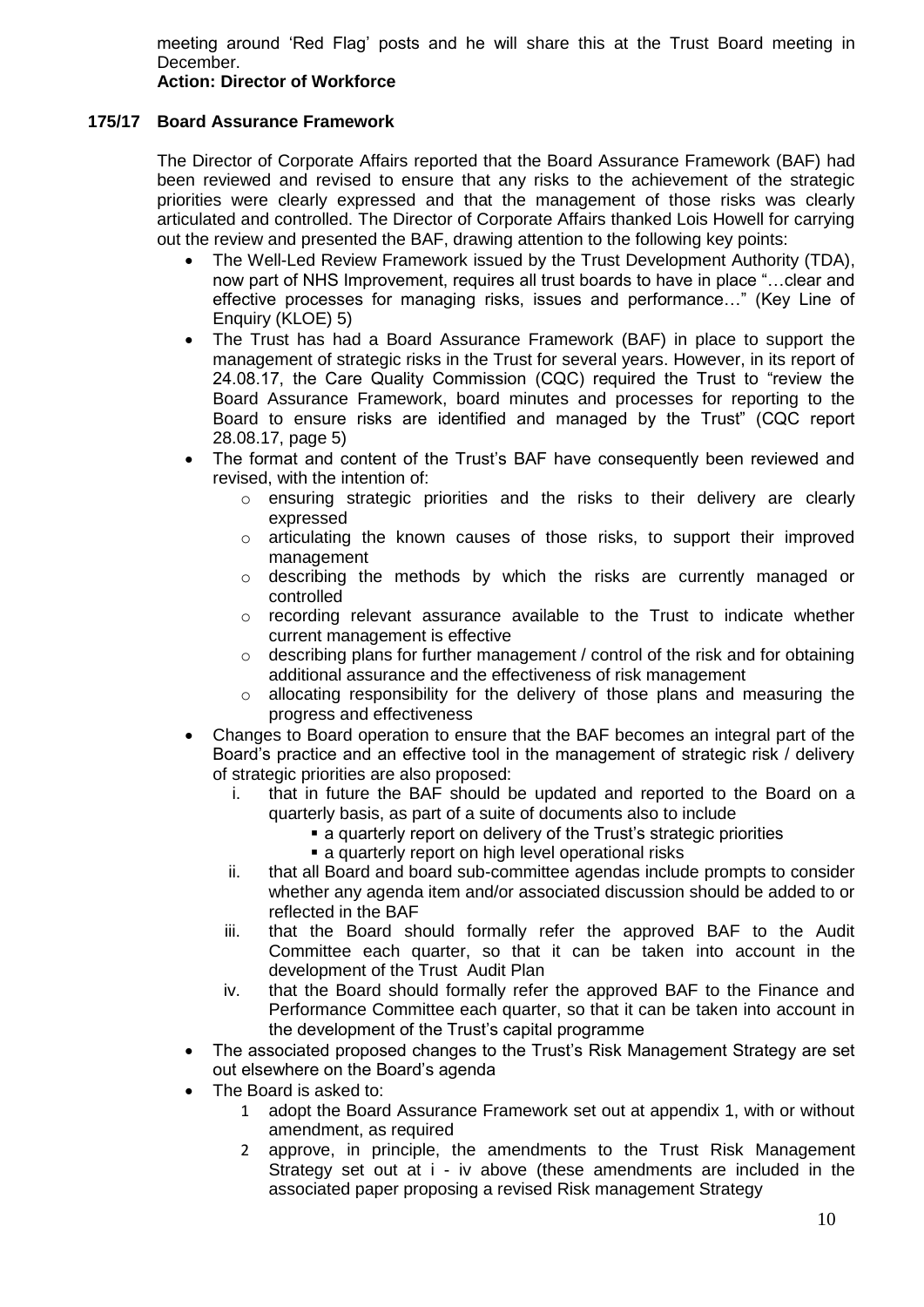meeting around 'Red Flag' posts and he will share this at the Trust Board meeting in December.

## **Action: Director of Workforce**

#### **175/17 Board Assurance Framework**

The Director of Corporate Affairs reported that the Board Assurance Framework (BAF) had been reviewed and revised to ensure that any risks to the achievement of the strategic priorities were clearly expressed and that the management of those risks was clearly articulated and controlled. The Director of Corporate Affairs thanked Lois Howell for carrying out the review and presented the BAF, drawing attention to the following key points:

- The Well-Led Review Framework issued by the Trust Development Authority (TDA), now part of NHS Improvement, requires all trust boards to have in place "…clear and effective processes for managing risks, issues and performance…" (Key Line of Enquiry (KLOE) 5)
- The Trust has had a Board Assurance Framework (BAF) in place to support the management of strategic risks in the Trust for several years. However, in its report of 24.08.17, the Care Quality Commission (CQC) required the Trust to "review the Board Assurance Framework, board minutes and processes for reporting to the Board to ensure risks are identified and managed by the Trust" (CQC report 28.08.17, page 5)
- The format and content of the Trust's BAF have consequently been reviewed and revised, with the intention of:
	- o ensuring strategic priorities and the risks to their delivery are clearly expressed
	- $\circ$  articulating the known causes of those risks, to support their improved management
	- o describing the methods by which the risks are currently managed or controlled
	- o recording relevant assurance available to the Trust to indicate whether current management is effective
	- $\circ$  describing plans for further management / control of the risk and for obtaining additional assurance and the effectiveness of risk management
	- o allocating responsibility for the delivery of those plans and measuring the progress and effectiveness
- Changes to Board operation to ensure that the BAF becomes an integral part of the Board's practice and an effective tool in the management of strategic risk / delivery of strategic priorities are also proposed:
	- i. that in future the BAF should be updated and reported to the Board on a quarterly basis, as part of a suite of documents also to include
		- a quarterly report on delivery of the Trust's strategic priorities
		- **a** quarterly report on high level operational risks
	- ii. that all Board and board sub-committee agendas include prompts to consider whether any agenda item and/or associated discussion should be added to or reflected in the BAF
	- iii. that the Board should formally refer the approved BAF to the Audit Committee each quarter, so that it can be taken into account in the development of the Trust Audit Plan
	- iv. that the Board should formally refer the approved BAF to the Finance and Performance Committee each quarter, so that it can be taken into account in the development of the Trust's capital programme
- The associated proposed changes to the Trust's Risk Management Strategy are set out elsewhere on the Board's agenda
- The Board is asked to:
	- 1 adopt the Board Assurance Framework set out at appendix 1, with or without amendment, as required
	- 2 approve, in principle, the amendments to the Trust Risk Management Strategy set out at i - iv above (these amendments are included in the associated paper proposing a revised Risk management Strategy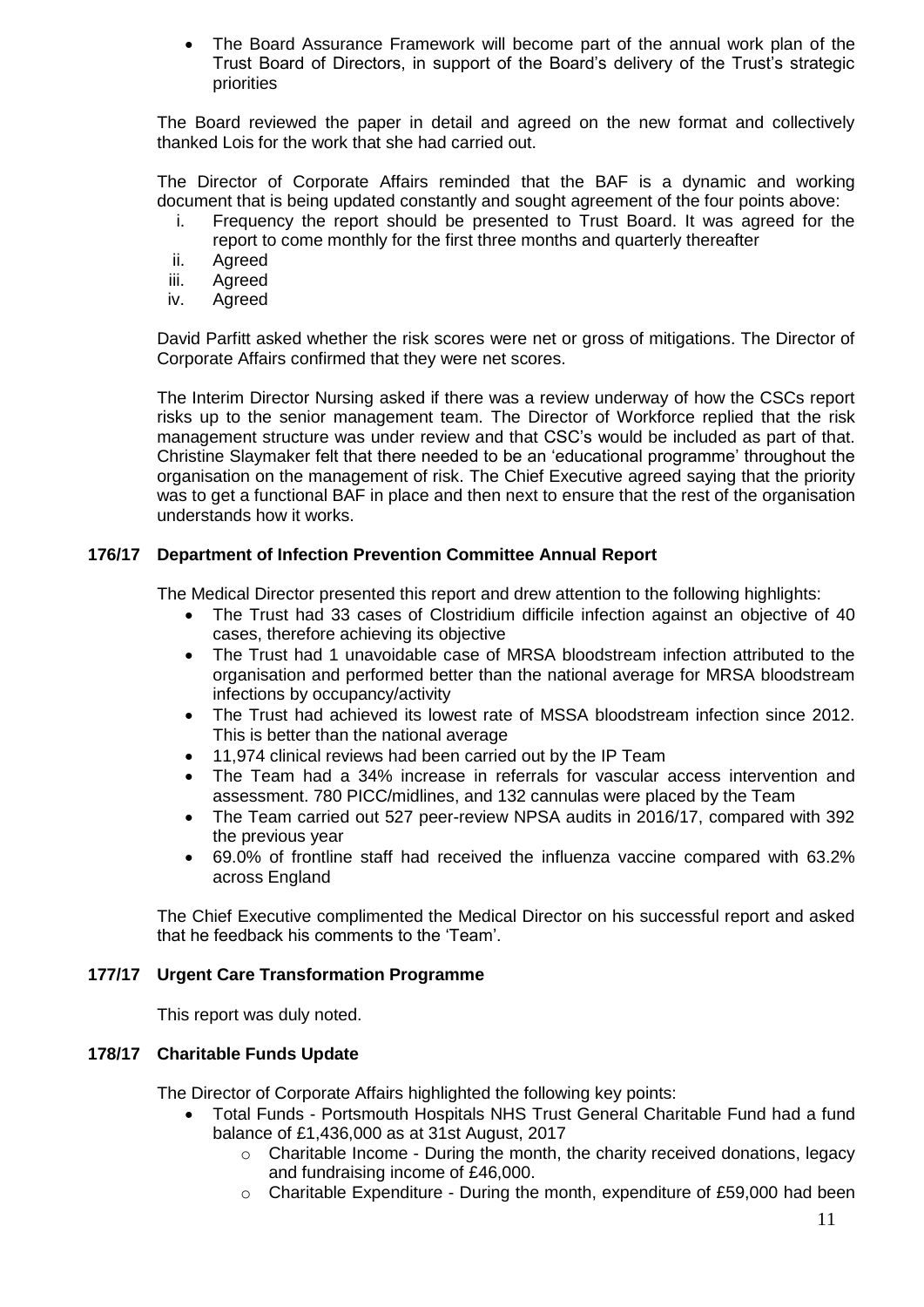The Board Assurance Framework will become part of the annual work plan of the Trust Board of Directors, in support of the Board's delivery of the Trust's strategic priorities

The Board reviewed the paper in detail and agreed on the new format and collectively thanked Lois for the work that she had carried out.

The Director of Corporate Affairs reminded that the BAF is a dynamic and working document that is being updated constantly and sought agreement of the four points above:

- i. Frequency the report should be presented to Trust Board. It was agreed for the report to come monthly for the first three months and quarterly thereafter
- ii. Agreed
- iii. Agreed
- iv. Agreed

David Parfitt asked whether the risk scores were net or gross of mitigations. The Director of Corporate Affairs confirmed that they were net scores.

The Interim Director Nursing asked if there was a review underway of how the CSCs report risks up to the senior management team. The Director of Workforce replied that the risk management structure was under review and that CSC's would be included as part of that. Christine Slaymaker felt that there needed to be an 'educational programme' throughout the organisation on the management of risk. The Chief Executive agreed saying that the priority was to get a functional BAF in place and then next to ensure that the rest of the organisation understands how it works.

# **176/17 Department of Infection Prevention Committee Annual Report**

The Medical Director presented this report and drew attention to the following highlights:

- The Trust had 33 cases of Clostridium difficile infection against an objective of 40 cases, therefore achieving its objective
- The Trust had 1 unavoidable case of MRSA bloodstream infection attributed to the organisation and performed better than the national average for MRSA bloodstream infections by occupancy/activity
- The Trust had achieved its lowest rate of MSSA bloodstream infection since 2012. This is better than the national average
- 11,974 clinical reviews had been carried out by the IP Team
- The Team had a 34% increase in referrals for vascular access intervention and assessment. 780 PICC/midlines, and 132 cannulas were placed by the Team
- The Team carried out 527 peer-review NPSA audits in 2016/17, compared with 392 the previous year
- 69.0% of frontline staff had received the influenza vaccine compared with 63.2% across England

The Chief Executive complimented the Medical Director on his successful report and asked that he feedback his comments to the 'Team'.

## **177/17 Urgent Care Transformation Programme**

This report was duly noted.

## **178/17 Charitable Funds Update**

The Director of Corporate Affairs highlighted the following key points:

- Total Funds Portsmouth Hospitals NHS Trust General Charitable Fund had a fund balance of £1,436,000 as at 31st August, 2017
	- o Charitable Income During the month, the charity received donations, legacy and fundraising income of £46,000.
	- $\circ$  Charitable Expenditure During the month, expenditure of £59,000 had been